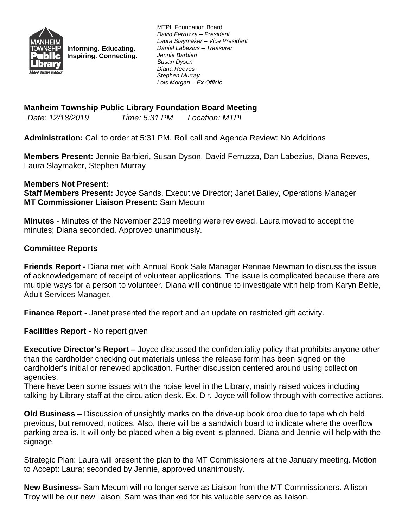

**Informing. Educating. Inspiring. Connecting.** MTPL Foundation Board *David Ferruzza – President Laura Slaymaker – Vice President Daniel Labezius – Treasurer Jennie Barbieri Susan Dyson Diana Reeves Stephen Murray Lois Morgan – Ex Officio*

## **Manheim Township Public Library Foundation Board Meeting**

*Date: 12/18/2019 Time: 5:31 PM Location: MTPL*

**Administration:** Call to order at 5:31 PM. Roll call and Agenda Review: No Additions

**Members Present:** Jennie Barbieri, Susan Dyson, David Ferruzza, Dan Labezius, Diana Reeves, Laura Slaymaker, Stephen Murray

## **Members Not Present:**

**Staff Members Present:** Joyce Sands, Executive Director; Janet Bailey, Operations Manager **MT Commissioner Liaison Present:** Sam Mecum

**Minutes** - Minutes of the November 2019 meeting were reviewed. Laura moved to accept the minutes; Diana seconded. Approved unanimously.

## **Committee Reports**

**Friends Report -** Diana met with Annual Book Sale Manager Rennae Newman to discuss the issue of acknowledgement of receipt of volunteer applications. The issue is complicated because there are multiple ways for a person to volunteer. Diana will continue to investigate with help from Karyn Beltle, Adult Services Manager.

**Finance Report -** Janet presented the report and an update on restricted gift activity.

**Facilities Report -** No report given

**Executive Director's Report –** Joyce discussed the confidentiality policy that prohibits anyone other than the cardholder checking out materials unless the release form has been signed on the cardholder's initial or renewed application. Further discussion centered around using collection agencies.

There have been some issues with the noise level in the Library, mainly raised voices including talking by Library staff at the circulation desk. Ex. Dir. Joyce will follow through with corrective actions.

**Old Business –** Discussion of unsightly marks on the drive-up book drop due to tape which held previous, but removed, notices. Also, there will be a sandwich board to indicate where the overflow parking area is. It will only be placed when a big event is planned. Diana and Jennie will help with the signage.

Strategic Plan: Laura will present the plan to the MT Commissioners at the January meeting. Motion to Accept: Laura; seconded by Jennie, approved unanimously.

**New Business-** Sam Mecum will no longer serve as Liaison from the MT Commissioners. Allison Troy will be our new liaison. Sam was thanked for his valuable service as liaison.